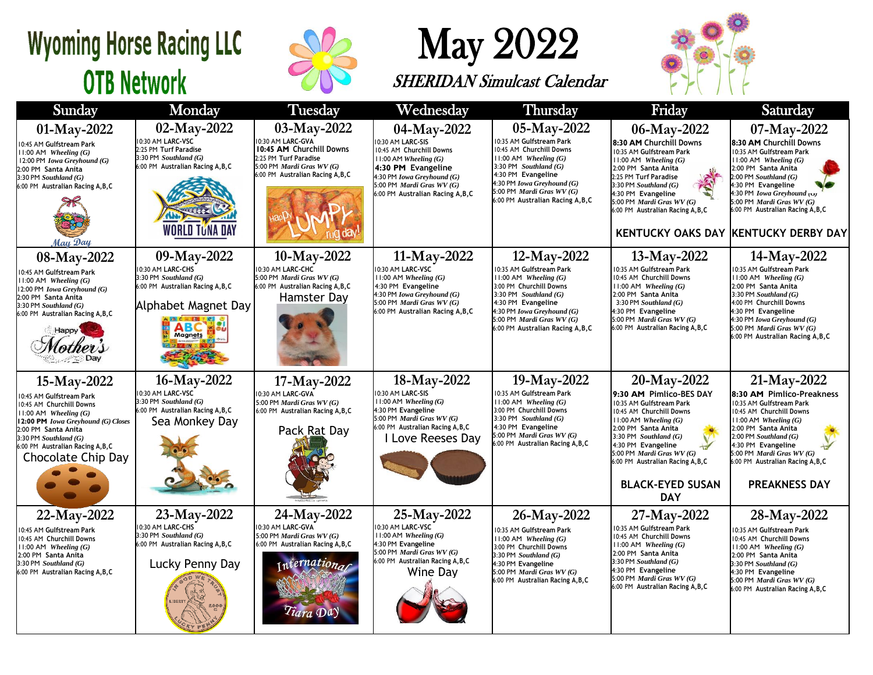#### **Wyoming Horse Racing LLC OTB Network**



## May 2022

SHERIDAN Simulcast Calendar



| Sunday                                                                                                                                                                                                                                                       | Monday                                                                                                                                           | <b>Tuesday</b>                                                                                                                                          | Wednesday                                                                                                                                                                                                    | <b>Thursday</b>                                                                                                                                                                                                                                            | Friday                                                                                                                                                                                                                                                                                                         | Saturday                                                                                                                                                                                                                                                                                                                 |
|--------------------------------------------------------------------------------------------------------------------------------------------------------------------------------------------------------------------------------------------------------------|--------------------------------------------------------------------------------------------------------------------------------------------------|---------------------------------------------------------------------------------------------------------------------------------------------------------|--------------------------------------------------------------------------------------------------------------------------------------------------------------------------------------------------------------|------------------------------------------------------------------------------------------------------------------------------------------------------------------------------------------------------------------------------------------------------------|----------------------------------------------------------------------------------------------------------------------------------------------------------------------------------------------------------------------------------------------------------------------------------------------------------------|--------------------------------------------------------------------------------------------------------------------------------------------------------------------------------------------------------------------------------------------------------------------------------------------------------------------------|
| 01-May-2022<br>10:45 AM Gulfstream Park<br>$11:00$ AM Wheeling $(G)$<br>12:00 PM Iowa Greyhound (G)<br>2:00 PM Santa Anita<br>$3:30$ PM Southland $(G)$<br>6:00 PM Australian Racing A, B, C<br>May Day                                                      | 02-May-2022<br>10:30 AM LARC-VSC<br>2:25 PM Turf Paradise<br>3:30 PM Southland (G)<br>6:00 PM Australian Racing A, B, C<br><b>WORLD TUNA DAY</b> | 03-May-2022<br>10:30 AM LARC-GVA<br>10:45 AM Churchill Downs<br>2:25 PM Turf Paradise<br>5:00 PM Mardi Gras WV (G)<br>6:00 PM Australian Racing A, B, C | 04-May-2022<br>0:30 AM LARC-SIS<br>10:45 AM Churchill Downs<br>$11:00$ AM Wheeling $(G)$<br>4:30 PM Evangeline<br>4:30 PM Iowa Greyhound (G)<br>5:00 PM Mardi Gras WV (G)<br>6:00 PM Australian Racing A,B,C | 05-May-2022<br>10:35 AM Gulfstream Park<br>10:45 AM Churchill Downs<br>$11:00$ AM Wheeling $(G)$<br>3:30 PM Southland $(G)$<br>4:30 PM Evangeline<br>4:30 PM Iowa Greyhound (G)<br>5:00 PM <i>Mardi Gras WV</i> $(G)$<br>6:00 PM Australian Racing A, B, C | 06-May-2022<br>8:30 AM Churchill Downs<br>10:35 AM Gulfstream Park<br>11:00 AM Wheeling (G)<br>2:00 PM Santa Anita<br>2:25 PM Turf Paradise<br>3:30 PM Southland $(G)$<br>4:30 PM Evangeline<br>5:00 PM Mardi Gras WV (G)<br>6:00 PM Australian Racing A, B, C                                                 | 07-May-2022<br>8:30 AM Churchill Downs<br>10:35 AM Gulfstream Park<br>$11:00$ AM Wheeling $(G)$<br>2:00 PM Santa Anita<br>$2:00$ PM Southland $(G)$<br>4:30 PM Evangeline<br>4:30 PM <i>Iowa Greyhound</i> (U)<br>5:00 PM Mardi Gras WV (G)<br>6:00 PM Australian Racing A, B, C<br>KENTUCKY OAKS DAY KENTUCKY DERBY DAY |
| 08-May-2022<br>10:45 AM Gulfstream Park<br>$11:00$ AM Wheeling $(G)$<br>12:00 PM Iowa Greyhound (G)<br>2:00 PM Santa Anita<br>$3:30$ PM Southland $(G)$<br>6:00 PM Australian Racing A, B, C<br>Happy                                                        | 09-May-2022<br>10:30 AM LARC-CHS<br>3:30 PM Southland (G)<br>6:00 PM Australian Racing A, B, C<br>Alphabet Magnet Day<br><b>Magnets</b>          | 10-May-2022<br>10:30 AM LARC-CHC<br>5:00 PM Mardi Gras WV (G)<br>6:00 PM Australian Racing A, B, C<br>Hamster Day                                       | 11-May-2022<br>0:30 AM LARC-VSC<br>$11:00$ AM Wheeling $(G)$<br>4:30 PM Evangeline<br>4:30 PM Iowa Greyhound (G)<br>5:00 PM <i>Mardi Gras WV</i> $(G)$<br>6:00 PM Australian Racing A,B,C                    | 12-May-2022<br>10:35 AM Gulfstream Park<br>$11:00$ AM Wheeling $(G)$<br>3:00 PM Churchill Downs<br>3:30 PM Southland $(G)$<br>4:30 PM Evangeline<br>4:30 PM Iowa Greyhound (G)<br>5:00 PM Mardi Gras WV (G)<br>6:00 PM Australian Racing A, B, C           | 13-May-2022<br>0:35 AM Gulfstream Park<br>10:45 AM Churchill Downs<br>$11:00$ AM Wheeling $(G)$<br>2:00 PM Santa Anita<br>3:30 PM Southland $(G)$<br>4:30 PM Evangeline<br>5:00 PM <i>Mardi Gras WV</i> $(G)$<br>6:00 PM Australian Racing A, B, C                                                             | 14-May-2022<br>10:35 AM Gulfstream Park<br>$11:00$ AM Wheeling $(G)$<br>2:00 PM Santa Anita<br>3:30 PM Southland $(G)$<br>4:00 PM Churchill Downs<br>4:30 PM Evangeline<br>4:30 PM Iowa Greyhound (G)<br>5:00 PM Mardi Gras WV (G)<br>6:00 PM Australian Racing A, B, C                                                  |
| 15-May-2022<br>10:45 AM Gulfstream Park<br>10:45 AM Churchill Downs<br>$11:00$ AM Wheeling $(G)$<br>12:00 PM Iowa Greyhound (G) Closes<br>2:00 PM Santa Anita<br>$3:30$ PM Southland $(G)$<br>6:00 PM Australian Racing A, B, C<br><b>Chocolate Chip Day</b> | 16-May-2022<br>10:30 AM LARC-VSC<br>3:30 PM Southland (G)<br>6:00 PM Australian Racing A, B, C<br>Sea Monkey Day                                 | 17-May-2022<br>10:30 AM LARC-GVA<br>5:00 PM Mardi Gras WV (G)<br>6:00 PM Australian Racing A, B, C<br>Pack Rat Day                                      | 18-May-2022<br>0:30 AM LARC-SIS<br>$11:00$ AM Wheeling $(G)$<br>4:30 PM Evangeline<br>5:00 PM Mardi Gras WV (G)<br>6:00 PM Australian Racing A, B, C<br>Love Reeses Day                                      | 19-May-2022<br>10:35 AM Gulfstream Park<br>11:00 AM Wheeling (G)<br>3:00 PM Churchill Downs<br>3:30 PM Southland $(G)$<br>4:30 PM Evangeline<br>5:00 PM Mardi Gras WV (G)<br>6:00 PM Australian Racing A, B, C                                             | 20-May-2022<br>9:30 AM Pimlico-BES DAY<br>10:35 AM Gulfstream Park<br>10:45 AM Churchill Downs<br>$11:00$ AM Wheeling $(G)$<br>2:00 PM Santa Anita<br>3:30 PM Southland $(G)$<br>4:30 PM Evangeline<br>5:00 PM Mardi Gras WV (G)<br>6:00 PM Australian Racing A, B, C<br><b>BLACK-EYED SUSAN</b><br><b>DAY</b> | 21-May-2022<br>8:30 AM Pimlico-Preakness<br>10:35 AM Gulfstream Park<br>10:45 AM Churchill Downs<br>$11:00$ AM Wheeling $(G)$<br>2:00 PM Santa Anita<br>$2:00$ PM Southland $(G)$<br>4:30 PM Evangeline<br>5:00 PM Mardi Gras WV (G)<br>6:00 PM Australian Racing A, B, C<br><b>PREAKNESS DAY</b>                        |
| $22-May-2022$<br>10:45 AM Gulfstream Park<br>10:45 AM Churchill Downs<br>$11:00$ AM Wheeling $(G)$<br>2:00 PM Santa Anita<br>3:30 PM Southland (G)<br>6:00 PM Australian Racing A, B, C                                                                      | 23-May-2022<br>10:30 AM LARC-CHS<br>3:30 PM Southland (G)<br>6:00 PM Australian Racing A, B, C<br>Lucky Penny Day                                | 24-May-2022<br>10:30 AM LARC-GVA<br>5:00 PM Mardi Gras WV (G)<br>6:00 PM Australian Racing A, B, C<br>internationar                                     | 25-May-2022<br>0:30 AM LARC-VSC<br>$11:00$ AM Wheeling $(G)$<br>4:30 PM Evangeline<br>5:00 PM Mardi Gras WV (G)<br>6:00 PM Australian Racing A, B, C<br>Wine Day                                             | 26-May-2022<br>10:35 AM Gulfstream Park<br>$11:00$ AM Wheeling $(G)$<br>3:00 PM Churchill Downs<br>3:30 PM Southland (G)<br>4:30 PM Evangeline<br>5:00 PM Mardi Gras WV (G)<br>6:00 PM Australian Racing A, B, C                                           | 27-May-2022<br>0:35 AM Gulfstream Park<br>10:45 AM Churchill Downs<br>$11:00$ AM Wheeling $(G)$<br>2:00 PM Santa Anita<br>$3:30$ PM Southland $(G)$<br>4:30 PM Evangeline<br>5:00 PM Mardi Gras WV (G)<br>6:00 PM Australian Racing A, B, C                                                                    | 28-May-2022<br>10:35 AM Gulfstream Park<br>10:45 AM Churchill Downs<br>$11:00$ AM Wheeling $(G)$<br>2:00 PM Santa Anita<br>$3:30$ PM Southland $(G)$<br>4:30 PM Evangeline<br>5:00 PM Mardi Gras WV (G)<br>6:00 PM Australian Racing A, B, C                                                                             |